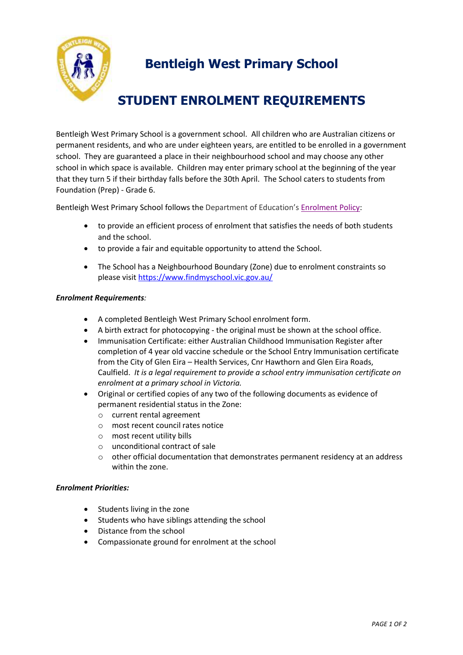

## **Bentleigh West Primary School**

## **STUDENT ENROLMENT REQUIREMENTS**

Bentleigh West Primary School is a government school. All children who are Australian citizens or permanent residents, and who are under eighteen years, are entitled to be enrolled in a government school. They are guaranteed a place in their neighbourhood school and may choose any other school in which space is available. Children may enter primary school at the beginning of the year that they turn 5 if their birthday falls before the 30th April. The School caters to students from Foundation (Prep) - Grade 6.

Bentleigh West Primary School follows the Department of Education's [Enrolment Policy:](https://www2.education.vic.gov.au/pal/enrolment/policy)

- to provide an efficient process of enrolment that satisfies the needs of both students and the school.
- to provide a fair and equitable opportunity to attend the School.
- The School has a Neighbourhood Boundary (Zone) due to enrolment constraints so please visi[t https://www.findmyschool.vic.gov.au/](https://www.findmyschool.vic.gov.au/)

## *Enrolment Requirements:*

- A completed Bentleigh West Primary School enrolment form.
- A birth extract for photocopying the original must be shown at the school office.
- Immunisation Certificate: either Australian Childhood Immunisation Register after completion of 4 year old vaccine schedule or the School Entry Immunisation certificate from the City of Glen Eira – Health Services, Cnr Hawthorn and Glen Eira Roads, Caulfield. *It is a legal requirement to provide a school entry immunisation certificate on enrolment at a primary school in Victoria.*
- Original or certified copies of any two of the following documents as evidence of permanent residential status in the Zone:
	- o current rental agreement
	- o most recent council rates notice
	- o most recent utility bills
	- o unconditional contract of sale
	- $\circ$  other official documentation that demonstrates permanent residency at an address within the zone.

## *Enrolment Priorities:*

- Students living in the zone
- Students who have siblings attending the school
- Distance from the school
- Compassionate ground for enrolment at the school